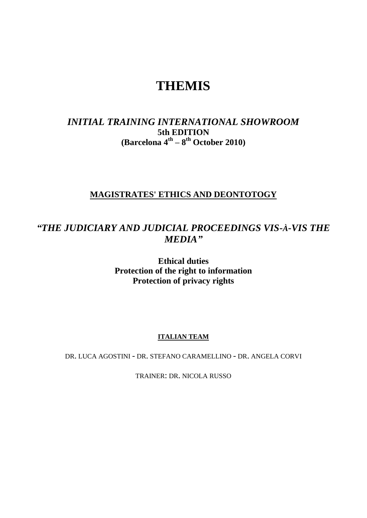# **THEMIS**

### *INITIAL TRAINING INTERNATIONAL SHOWROOM* **5th EDITION (Barcelona 4th – 8 th October 2010)**

#### **MAGISTRATES' ETHICS AND DEONTOTOGY**

## *"THE JUDICIARY AND JUDICIAL PROCEEDINGS VIS-À-VIS THE MEDIA"*

**Ethical duties Protection of the right to information Protection of privacy rights**

#### **ITALIAN TEAM**

DR. LUCA AGOSTINI - DR. STEFANO CARAMELLINO - DR. ANGELA CORVI

TRAINER: DR. NICOLA RUSSO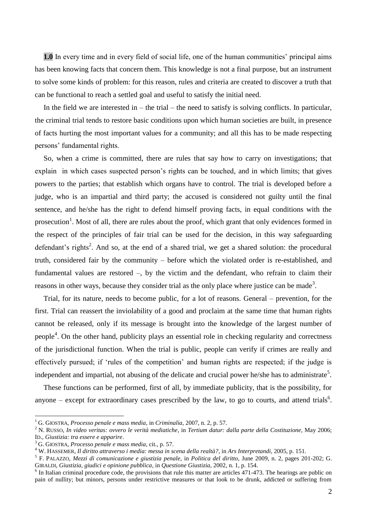**1.0** In every time and in every field of social life, one of the human communities' principal aims has been knowing facts that concern them. This knowledge is not a final purpose, but an instrument to solve some kinds of problem: for this reason, rules and criteria are created to discover a truth that can be functional to reach a settled goal and useful to satisfy the initial need.

In the field we are interested in  $-$  the trial  $-$  the need to satisfy is solving conflicts. In particular, the criminal trial tends to restore basic conditions upon which human societies are built, in presence of facts hurting the most important values for a community; and all this has to be made respecting persons" fundamental rights.

So, when a crime is committed, there are rules that say how to carry on investigations; that explain in which cases suspected person's rights can be touched, and in which limits; that gives powers to the parties; that establish which organs have to control. The trial is developed before a judge, who is an impartial and third party; the accused is considered not guilty until the final sentence, and he/she has the right to defend himself proving facts, in equal conditions with the prosecution<sup>1</sup>. Most of all, there are rules about the proof, which grant that only evidences formed in the respect of the principles of fair trial can be used for the decision, in this way safeguarding defendant's rights<sup>2</sup>. And so, at the end of a shared trial, we get a shared solution: the procedural truth, considered fair by the community – before which the violated order is re-established, and fundamental values are restored –, by the victim and the defendant, who refrain to claim their reasons in other ways, because they consider trial as the only place where justice can be made<sup>3</sup>.

Trial, for its nature, needs to become public, for a lot of reasons. General – prevention, for the first. Trial can reassert the inviolability of a good and proclaim at the same time that human rights cannot be released, only if its message is brought into the knowledge of the largest number of people<sup>4</sup>. On the other hand, publicity plays an essential role in checking regularity and correctness of the jurisdictional function. When the trial is public, people can verify if crimes are really and effectively pursued; if "rules of the competition" and human rights are respected; if the judge is independent and impartial, not abusing of the delicate and crucial power he/she has to administrate<sup>5</sup>.

These functions can be performed, first of all, by immediate publicity, that is the possibility, for anyone – except for extraordinary cases prescribed by the law, to go to courts, and attend trials<sup>6</sup>.

<sup>1</sup> G. GIOSTRA, *Processo penale e mass media*, in *Criminalia*, 2007, n. 2, p. 57.

<sup>2</sup> N. RUSSO, *In video veritas: ovvero le verità mediatiche*, in *Tertium datur: dalla parte della Costituzione*, May 2006; ID., *Giustizia: tra essere e apparire*.

<sup>3</sup> G. GIOSTRA, *Processo penale e mass media*, cit., p. 57.

<sup>4</sup> W. HASSEMER, *Il diritto attraverso i media: messa in scena della realtà?*, in *Ars Interpretandi*, 2005, p. 151.

<sup>5</sup> F. PALAZZO, *Mezzi di comunicazione e giustizia penale*, in *Politica del diritto*, June 2009, n. 2, pages 201-202; G. GIRALDI, *Giustizia, giudici e opinione pubblica*, in *Questione Giustizia*, 2002, n. 1, p. 154.

<sup>&</sup>lt;sup>6</sup> In Italian criminal procedure code, the provisions that rule this matter are articles 471-473. The hearings are public on pain of nullity; but minors, persons under restrictive measures or that look to be drunk, addicted or suffering from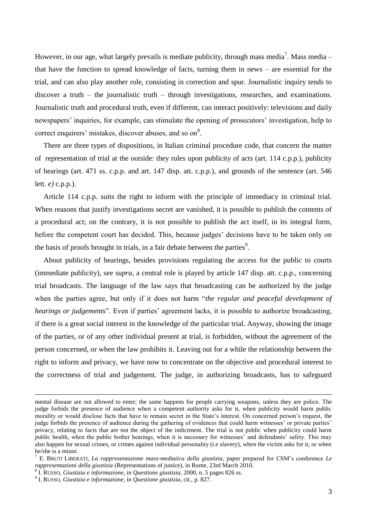However, in our age, what largely prevails is mediate publicity, through mass media<sup>7</sup>. Mass media – that have the function to spread knowledge of facts, turning them in news – are essential for the trial, and can also play another role, consisting in correction and spur. Journalistic inquiry tends to discover a truth – the journalistic truth – through investigations, researches, and examinations. Journalistic truth and procedural truth, even if different, can interact positively: televisions and daily newspapers" inquiries, for example, can stimulate the opening of prosecutors" investigation, help to correct enquirers' mistakes, discover abuses, and so on<sup>8</sup>.

There are three types of dispositions, in Italian criminal procedure code, that concern the matter of representation of trial at the outside: they rules upon publicity of acts (art. 114 c.p.p.), publicity of hearings (art. 471 ss. c.p.p. and art. 147 disp. att. c.p.p.), and grounds of the sentence (art. 546 lett. *e)* c.p.p.).

Article 114 c.p.p. suits the right to inform with the principle of immediacy in criminal trial. When reasons that justify investigations secret are vanished, it is possible to publish the contents of a procedural act; on the contrary, it is not possible to publish the act itself, in its integral form, before the competent court has decided. This, because judges' decisions have to be taken only on the basis of proofs brought in trials, in a fair debate between the parties<sup>9</sup>.

About publicity of hearings, besides provisions regulating the access for the public to courts (immediate publicity), see *supra*, a central role is played by article 147 disp. att. c.p.p., concerning trial broadcasts. The language of the law says that broadcasting can be authorized by the judge when the parties agree, but only if it does not harm "*the regular and peaceful development of hearings or judgements*". Even if parties' agreement lacks, it is possible to authorize broadcasting, if there is a great social interest in the knowledge of the particular trial. Anyway, showing the image of the parties, or of any other individual present at trial, is forbidden, without the agreement of the person concerned, or when the law prohibits it. Leaving out for a while the relationship between the right to inform and privacy, we have now to concentrate on the objective and procedural interest to the correctness of trial and judgement. The judge, in authorizing broadcasts, has to safeguard

mental disease are not allowed to enter; the same happens for people carrying weapons, unless they are police. The judge forbids the presence of audience when a competent authority asks for it, when publicity would harm public morality or would disclose facts that have to remain secret in the State"s interest. On concerned person"s request, the judge forbids the presence of audience during the gathering of evidences that could harm witnesses' or private parties' privacy, relating to facts that are not the object of the indictment. The trial is not public when publicity could harm public health, when the public bother hearings, when it is necessary for witnesses" and defendants" safety. This may also happen for sexual crimes, or crimes against individual personality (i.e slavery), when the victim asks for it, or when he/she is a minor.

<sup>7</sup> E. BRUTI LIBERATI, *La rappresentazione mass-mediatica della giustizia*, paper prepared for CSM"s conference *Le rappresentazioni della giustizia* (Representations of justice), in Rome, 23rd March 2010.

<sup>8</sup> I. RUSSO, *Giustizia e informazione*, in *Questione giustizia*, 2000, n. 5 pages 826 ss.

<sup>9</sup> I. RUSSO, *Giustizia e informazione*, in *Questione giustizia*, cit., p. 827.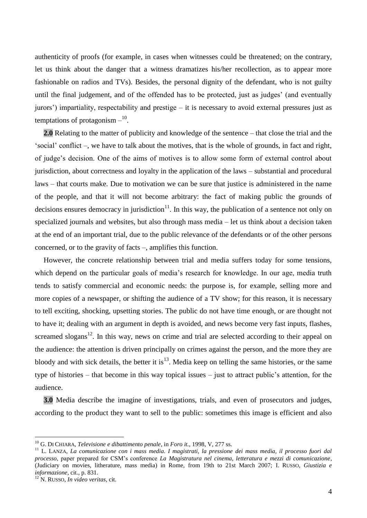authenticity of proofs (for example, in cases when witnesses could be threatened; on the contrary, let us think about the danger that a witness dramatizes his/her recollection, as to appear more fashionable on radios and TVs). Besides, the personal dignity of the defendant, who is not guilty until the final judgement, and of the offended has to be protected, just as judges" (and eventually jurors") impartiality, respectability and prestige – it is necessary to avoid external pressures just as temptations of protagonism  $-$ <sup>10</sup>.

**2.0** Relating to the matter of publicity and knowledge of the sentence – that close the trial and the "social" conflict –, we have to talk about the motives, that is the whole of grounds, in fact and right, of judge"s decision. One of the aims of motives is to allow some form of external control about jurisdiction, about correctness and loyalty in the application of the laws – substantial and procedural laws – that courts make. Due to motivation we can be sure that justice is administered in the name of the people, and that it will not become arbitrary: the fact of making public the grounds of decisions ensures democracy in jurisdiction $11$ . In this way, the publication of a sentence not only on specialized journals and websites, but also through mass media – let us think about a decision taken at the end of an important trial, due to the public relevance of the defendants or of the other persons concerned, or to the gravity of facts –, amplifies this function.

However, the concrete relationship between trial and media suffers today for some tensions, which depend on the particular goals of media's research for knowledge. In our age, media truth tends to satisfy commercial and economic needs: the purpose is, for example, selling more and more copies of a newspaper, or shifting the audience of a TV show; for this reason, it is necessary to tell exciting, shocking, upsetting stories. The public do not have time enough, or are thought not to have it; dealing with an argument in depth is avoided, and news become very fast inputs, flashes, screamed slogans<sup>12</sup>. In this way, news on crime and trial are selected according to their appeal on the audience: the attention is driven principally on crimes against the person, and the more they are bloody and with sick details, the better it is<sup>13</sup>. Media keep on telling the same histories, or the same type of histories – that become in this way topical issues – just to attract public"s attention, for the audience.

**3.0** Media describe the imagine of investigations, trials, and even of prosecutors and judges, according to the product they want to sell to the public: sometimes this image is efficient and also

<sup>10</sup> G. DI CHIARA, *Televisione e dibattimento penale*, in *Foro it.*, 1998, V, 277 ss.

<sup>11</sup> L. LANZA, *La comunicazione con i mass media. I magistrati, la pressione dei mass media, il processo fuori dal processo*, paper prepared for CSM"s conference *La Magistratura nel cinema, letteratura e mezzi di comunicazione*, (Judiciary on movies, litherature, mass media) in Rome, from 19th to 21st March 2007; I. RUSSO, *Giustizia e informazione*, cit., p. 831.

<sup>12</sup> N. RUSSO, *In video veritas*, cit.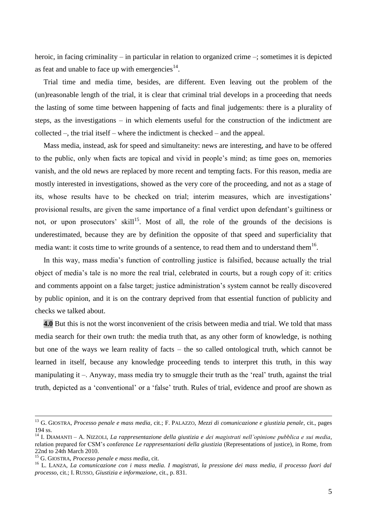heroic, in facing criminality – in particular in relation to organized crime –; sometimes it is depicted as feat and unable to face up with emergencies $14$ .

Trial time and media time, besides, are different. Even leaving out the problem of the (un)reasonable length of the trial, it is clear that criminal trial develops in a proceeding that needs the lasting of some time between happening of facts and final judgements: there is a plurality of steps, as the investigations – in which elements useful for the construction of the indictment are collected –, the trial itself – where the indictment is checked – and the appeal.

Mass media, instead, ask for speed and simultaneity: news are interesting, and have to be offered to the public, only when facts are topical and vivid in people"s mind; as time goes on, memories vanish, and the old news are replaced by more recent and tempting facts. For this reason, media are mostly interested in investigations, showed as the very core of the proceeding, and not as a stage of its, whose results have to be checked on trial; interim measures, which are investigations" provisional results, are given the same importance of a final verdict upon defendant"s guiltiness or not, or upon prosecutors' skill<sup>15</sup>. Most of all, the role of the grounds of the decisions is underestimated, because they are by definition the opposite of that speed and superficiality that media want: it costs time to write grounds of a sentence, to read them and to understand them<sup>16</sup>.

In this way, mass media"s function of controlling justice is falsified, because actually the trial object of media"s tale is no more the real trial, celebrated in courts, but a rough copy of it: critics and comments appoint on a false target; justice administration"s system cannot be really discovered by public opinion, and it is on the contrary deprived from that essential function of publicity and checks we talked about.

**4.0** But this is not the worst inconvenient of the crisis between media and trial. We told that mass media search for their own truth: the media truth that, as any other form of knowledge, is nothing but one of the ways we learn reality of facts – the so called ontological truth, which cannot be learned in itself, because any knowledge proceeding tends to interpret this truth, in this way manipulating it –. Anyway, mass media try to smuggle their truth as the "real" truth, against the trial truth, depicted as a "conventional" or a "false" truth. Rules of trial, evidence and proof are shown as

<sup>13</sup> G. GIOSTRA, *Processo penale e mass media*, cit.; F. PALAZZO, *Mezzi di comunicazione e giustizia penale*, cit., pages 194 ss.

<sup>14</sup> I. DIAMANTI – A. NIZZOLI, *La rappresentazione della giustizia e dei magistrati nell"opinione pubblica e sui media*, relation prepared for CSM"s conference *Le rappresentazioni della giustizia* (Representations of justice), in Rome, from 22nd to 24th March 2010.

<sup>15</sup> G. GIOSTRA, *Processo penale e mass media*, cit.

<sup>16</sup> L. LANZA, *La comunicazione con i mass media. I magistrati, la pressione dei mass media, il processo fuori dal processo*, cit.; I. RUSSO, *Giustizia e informazione*, cit., p. 831.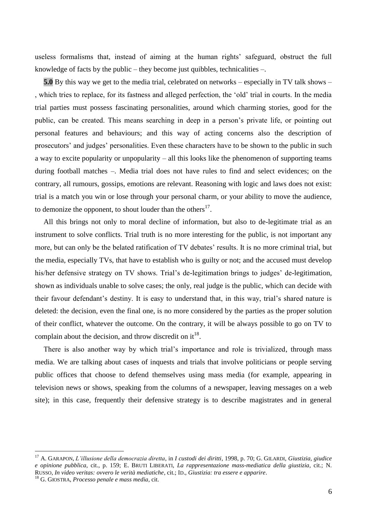useless formalisms that, instead of aiming at the human rights' safeguard, obstruct the full knowledge of facts by the public – they become just quibbles, technicalities –.

**5.0** By this way we get to the media trial, celebrated on networks – especially in TV talk shows – , which tries to replace, for its fastness and alleged perfection, the "old" trial in courts. In the media trial parties must possess fascinating personalities, around which charming stories, good for the public, can be created. This means searching in deep in a person"s private life, or pointing out personal features and behaviours; and this way of acting concerns also the description of prosecutors' and judges' personalities. Even these characters have to be shown to the public in such a way to excite popularity or unpopularity – all this looks like the phenomenon of supporting teams during football matches –. Media trial does not have rules to find and select evidences; on the contrary, all rumours, gossips, emotions are relevant. Reasoning with logic and laws does not exist: trial is a match you win or lose through your personal charm, or your ability to move the audience, to demonize the opponent, to shout louder than the others $17$ .

All this brings not only to moral decline of information, but also to de-legitimate trial as an instrument to solve conflicts. Trial truth is no more interesting for the public, is not important any more, but can only be the belated ratification of TV debates' results. It is no more criminal trial, but the media, especially TVs, that have to establish who is guilty or not; and the accused must develop his/her defensive strategy on TV shows. Trial's de-legitimation brings to judges' de-legitimation, shown as individuals unable to solve cases; the only, real judge is the public, which can decide with their favour defendant"s destiny. It is easy to understand that, in this way, trial"s shared nature is deleted: the decision, even the final one, is no more considered by the parties as the proper solution of their conflict, whatever the outcome. On the contrary, it will be always possible to go on TV to complain about the decision, and throw discredit on  $it^{18}$ .

There is also another way by which trial's importance and role is trivialized, through mass media. We are talking about cases of inquests and trials that involve politicians or people serving public offices that choose to defend themselves using mass media (for example, appearing in television news or shows, speaking from the columns of a newspaper, leaving messages on a web site); in this case, frequently their defensive strategy is to describe magistrates and in general

1

<sup>17</sup> A. GARAPON, *L"illusione della democrazia diretta*, in *I custodi dei diritti*, 1998, p. 70; G. GILARDI, *Giustizia, giudice e opinione pubblica*, cit., p. 159; E. BRUTI LIBERATI, *La rappresentazione mass-mediatica della giustizia*, cit.; N. RUSSO, *In video veritas: ovvero le verità mediatiche*, cit.; ID., *Giustizia: tra essere e apparire*. <sup>18</sup> G. GIOSTRA, *Processo penale e mass media*, cit.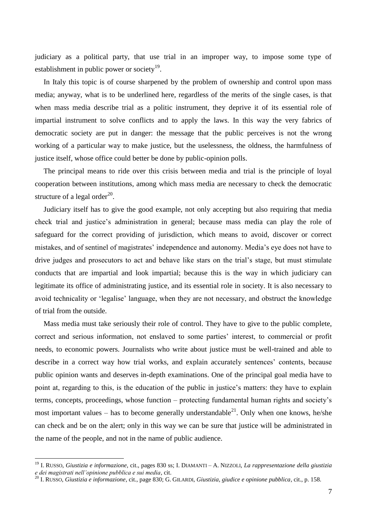judiciary as a political party, that use trial in an improper way, to impose some type of establishment in public power or society<sup>19</sup>.

In Italy this topic is of course sharpened by the problem of ownership and control upon mass media; anyway, what is to be underlined here, regardless of the merits of the single cases, is that when mass media describe trial as a politic instrument, they deprive it of its essential role of impartial instrument to solve conflicts and to apply the laws. In this way the very fabrics of democratic society are put in danger: the message that the public perceives is not the wrong working of a particular way to make justice, but the uselessness, the oldness, the harmfulness of justice itself, whose office could better be done by public-opinion polls.

The principal means to ride over this crisis between media and trial is the principle of loyal cooperation between institutions, among which mass media are necessary to check the democratic structure of a legal order $^{20}$ .

Judiciary itself has to give the good example, not only accepting but also requiring that media check trial and justice"s administration in general; because mass media can play the role of safeguard for the correct providing of jurisdiction, which means to avoid, discover or correct mistakes, and of sentinel of magistrates' independence and autonomy. Media's eye does not have to drive judges and prosecutors to act and behave like stars on the trial"s stage, but must stimulate conducts that are impartial and look impartial; because this is the way in which judiciary can legitimate its office of administrating justice, and its essential role in society. It is also necessary to avoid technicality or "legalise" language, when they are not necessary, and obstruct the knowledge of trial from the outside.

Mass media must take seriously their role of control. They have to give to the public complete, correct and serious information, not enslaved to some parties" interest, to commercial or profit needs, to economic powers. Journalists who write about justice must be well-trained and able to describe in a correct way how trial works, and explain accurately sentences' contents, because public opinion wants and deserves in-depth examinations. One of the principal goal media have to point at, regarding to this, is the education of the public in justice"s matters: they have to explain terms, concepts, proceedings, whose function – protecting fundamental human rights and society"s most important values – has to become generally understandable<sup>21</sup>. Only when one knows, he/she can check and be on the alert; only in this way we can be sure that justice will be administrated in the name of the people, and not in the name of public audience.

<sup>19</sup> I. RUSSO, *Giustizia e informazione*, cit., pages 830 ss; I. DIAMANTI – A. NIZZOLI, *La rappresentazione della giustizia e dei magistrati nell"opinione pubblica e sui media*, cit.

<sup>20</sup> I. RUSSO, *Giustizia e informazione*, cit., page 830; G. GILARDI, *Giustizia, giudice e opinione pubblica*, cit., p. 158.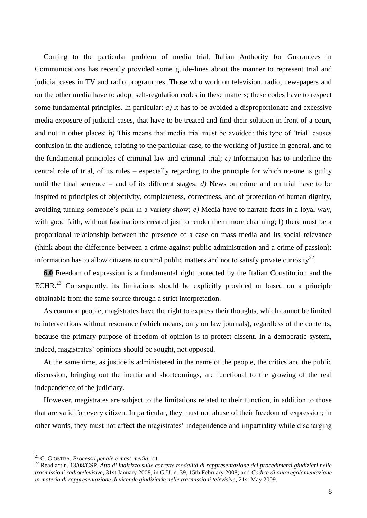Coming to the particular problem of media trial, Italian Authority for Guarantees in Communications has recently provided some guide-lines about the manner to represent trial and judicial cases in TV and radio programmes. Those who work on television, radio, newspapers and on the other media have to adopt self-regulation codes in these matters; these codes have to respect some fundamental principles. In particular: *a)* It has to be avoided a disproportionate and excessive media exposure of judicial cases, that have to be treated and find their solution in front of a court, and not in other places; *b)* This means that media trial must be avoided: this type of "trial" causes confusion in the audience, relating to the particular case, to the working of justice in general, and to the fundamental principles of criminal law and criminal trial; *c)* Information has to underline the central role of trial, of its rules – especially regarding to the principle for which no-one is guilty until the final sentence – and of its different stages; *d)* News on crime and on trial have to be inspired to principles of objectivity, completeness, correctness, and of protection of human dignity, avoiding turning someone"s pain in a variety show; *e)* Media have to narrate facts in a loyal way, with good faith, without fascinations created just to render them more charming; f) there must be a proportional relationship between the presence of a case on mass media and its social relevance (think about the difference between a crime against public administration and a crime of passion): information has to allow citizens to control public matters and not to satisfy private curiosity<sup>22</sup>.

**6.0** Freedom of expression is a fundamental right protected by the Italian Constitution and the ECHR.<sup>23</sup> Consequently, its limitations should be explicitly provided or based on a principle obtainable from the same source through a strict interpretation.

As common people, magistrates have the right to express their thoughts, which cannot be limited to interventions without resonance (which means, only on law journals), regardless of the contents, because the primary purpose of freedom of opinion is to protect dissent. In a democratic system, indeed, magistrates' opinions should be sought, not opposed.

At the same time, as justice is administered in the name of the people, the critics and the public discussion, bringing out the inertia and shortcomings, are functional to the growing of the real independence of the judiciary.

However, magistrates are subject to the limitations related to their function, in addition to those that are valid for every citizen. In particular, they must not abuse of their freedom of expression; in other words, they must not affect the magistrates" independence and impartiality while discharging

1

<sup>21</sup> G. GIOSTRA, *Processo penale e mass media*, cit.

<sup>22</sup> Read act n. 13/08/CSP, *Atto di indirizzo sulle corrette modalità di rappresentazione dei procedimenti giudiziari nelle trasmissioni radiotelevisive*, 31st January 2008, in G.U. n. 39, 15th February 2008; and *Codice di autoregolamentazione in materia di rappresentazione di vicende giudiziarie nelle trasmissioni televisive*, 21st May 2009.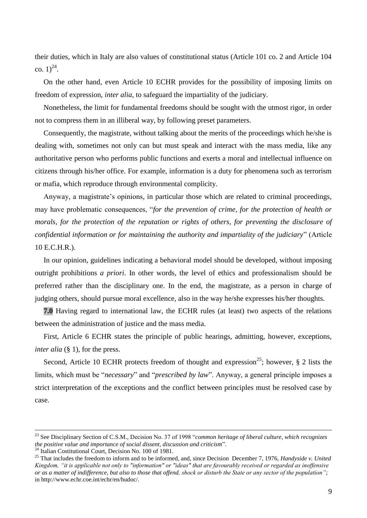their duties, which in Italy are also values of constitutional status (Article 101 co. 2 and Article 104 co.  $1)^{24}$ .

On the other hand, even Article 10 ECHR provides for the possibility of imposing limits on freedom of expression, *inter alia*, to safeguard the impartiality of the judiciary.

Nonetheless, the limit for fundamental freedoms should be sought with the utmost rigor, in order not to compress them in an illiberal way, by following preset parameters.

Consequently, the magistrate, without talking about the merits of the proceedings which he/she is dealing with, sometimes not only can but must speak and interact with the mass media, like any authoritative person who performs public functions and exerts a moral and intellectual influence on citizens through his/her office. For example, information is a duty for phenomena such as terrorism or mafia, which reproduce through environmental complicity.

Anyway, a magistrate"s opinions, in particular those which are related to criminal proceedings, may have problematic consequences, "*for the prevention of crime, for the protection of health or morals, for the protection of the reputation or rights of others, for preventing the disclosure of confidential information or for maintaining the authority and impartiality of the judiciary*" (Article 10 E.C.H.R.).

In our opinion, guidelines indicating a behavioral model should be developed, without imposing outright prohibitions *a priori*. In other words, the level of ethics and professionalism should be preferred rather than the disciplinary one. In the end, the magistrate, as a person in charge of judging others, should pursue moral excellence, also in the way he/she expresses his/her thoughts.

**7.0** Having regard to international law, the ECHR rules (at least) two aspects of the relations between the administration of justice and the mass media.

First, Article 6 ECHR states the principle of public hearings, admitting, however, exceptions, *inter alia* (§ 1), for the press.

Second, Article 10 ECHR protects freedom of thought and expression<sup>25</sup>; however, § 2 lists the limits, which must be "*necessary*" and "*prescribed by law*". Anyway, a general principle imposes a strict interpretation of the exceptions and the conflict between principles must be resolved case by case.

1

<sup>23</sup> See Disciplinary Section of C.S.M., Decision No. 37 of 1998 "*common heritage of liberal culture, which recognizes the positive value and importance of social dissent, discussion and criticism*".

 $^{24}$  Italian Costitutional Court, Decision No. 100 of 1981.

<sup>&</sup>lt;sup>25</sup> That includes the freedom to inform and to be informed, and, since Decision December 7, 1976, *Handyside v. United Kingdom, "it is applicable not only to "information" or "ideas" that are favourably received or regarded as inoffensive or as a matter of indifference, but also to those that offend, shock or disturb the State or any sector of the population"*; in http://www.echr.coe.int/echr/en/hudoc/.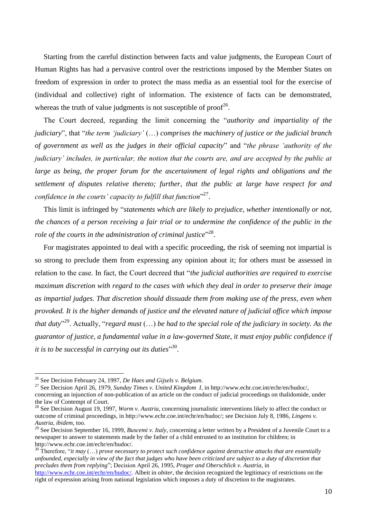Starting from the careful distinction between facts and value judgments, the European Court of Human Rights has had a pervasive control over the restrictions imposed by the Member States on freedom of expression in order to protect the mass media as an essential tool for the exercise of (individual and collective) right of information. The existence of facts can be demonstrated, whereas the truth of value judgments is not susceptible of  $\text{proof}^{26}$ .

The Court decreed, regarding the limit concerning the "*authority and impartiality of the judiciary*", that "*the term "judiciary"* (…) *comprises the machinery of justice or the judicial branch of government as well as the judges in their official capacity*" and "*the phrase "authority of the judiciary" includes, in particular, the notion that the courts are, and are accepted by the public at*  large as being, the proper forum for the ascertainment of legal rights and obligations and the *settlement of disputes relative thereto; further, that the public at large have respect for and*  confidence in the courts' capacity to fulfill that function"<sup>27</sup>.

This limit is infringed by "*statements which are likely to prejudice, whether intentionally or not, the chances of a person receiving a fair trial or to undermine the confidence of the public in the*  role of the courts in the administration of criminal justice"<sup>28</sup>.

For magistrates appointed to deal with a specific proceeding, the risk of seeming not impartial is so strong to preclude them from expressing any opinion about it; for others must be assessed in relation to the case. In fact, the Court decreed that "*the judicial authorities are required to exercise maximum discretion with regard to the cases with which they deal in order to preserve their image as impartial judges. That discretion should dissuade them from making use of the press, even when provoked. It is the higher demands of justice and the elevated nature of judicial office which impose that duty*" <sup>29</sup>. Actually, "*regard must* (…) *be had to the special role of the judiciary in society. As the guarantor of justice, a fundamental value in a law-governed State, it must enjoy public confidence if it is to be successful in carrying out its duties*" 30 .

<sup>26</sup> See Decision February 24, 1997, *De Haes and Gijsels v. Belgium*.

<sup>27</sup> See Decision April 26, 1979, *Sunday Times v. United Kingdom I*, in http://www.echr.coe.int/echr/en/hudoc/, concerning an injunction of non-publication of an article on the conduct of judicial proceedings on thalidomide, under the law of Contempt of Court.

<sup>&</sup>lt;sup>28</sup> See Decision August 19, 1997, *Worm v. Austria*, concerning journalistic interventions likely to affect the conduct or outcome of criminal proceedings, in http://www.echr.coe.int/echr/en/hudoc/; see Decision July 8, 1986, *Lingens v. Austria*, *ibidem*, too.

<sup>&</sup>lt;sup>29</sup> See Decision September 16, 1999, *Buscemi v. Italy*, concerning a letter written by a President of a Juvenile Court to a newspaper to answer to statements made by the father of a child entrusted to an institution for children; in http://www.echr.coe.int/echr/en/hudoc/.

<sup>30</sup> Therefore, "*it may* (…) *prove necessary to protect such confidence against destructive attacks that are essentially unfounded, especially in view of the fact that judges who have been criticized are subject to a duty of discretion that precludes them from replying*"; Decision April 26, 1995, *Prager and Oberschlick v. Austria*, in

[http://www.echr.coe.int/echr/en/hudoc/.](http://www.echr.coe.int/echr/en/hudoc/) Albeit in *obiter*, the decision recognized the legitimacy of restrictions on the right of expression arising from national legislation which imposes a duty of discretion to the magistrates.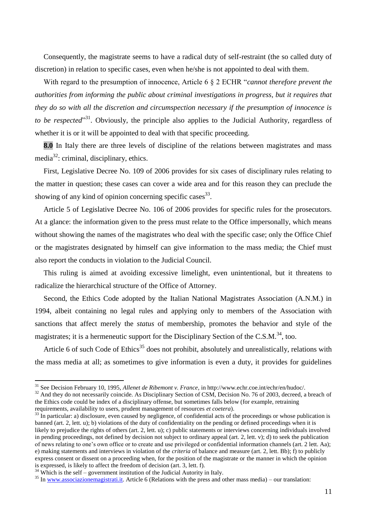Consequently, the magistrate seems to have a radical duty of self-restraint (the so called duty of discretion) in relation to specific cases, even when he/she is not appointed to deal with them.

With regard to the presumption of innocence, Article 6 § 2 ECHR "*cannot therefore prevent the authorities from informing the public about criminal investigations in progress, but it requires that they do so with all the discretion and circumspection necessary if the presumption of innocence is to be respected*" <sup>31</sup>. Obviously, the principle also applies to the Judicial Authority, regardless of whether it is or it will be appointed to deal with that specific proceeding.

**8.0** In Italy there are three levels of discipline of the relations between magistrates and mass media<sup>32</sup>: criminal, disciplinary, ethics.

First, Legislative Decree No. 109 of 2006 provides for six cases of disciplinary rules relating to the matter in question; these cases can cover a wide area and for this reason they can preclude the showing of any kind of opinion concerning specific cases $^{33}$ .

Article 5 of Legislative Decree No. 106 of 2006 provides for specific rules for the prosecutors. At a glance: the information given to the press must relate to the Office impersonally, which means without showing the names of the magistrates who deal with the specific case; only the Office Chief or the magistrates designated by himself can give information to the mass media; the Chief must also report the conducts in violation to the Judicial Council.

This ruling is aimed at avoiding excessive limelight, even unintentional, but it threatens to radicalize the hierarchical structure of the Office of Attorney.

Second, the Ethics Code adopted by the Italian National Magistrates Association (A.N.M.) in 1994, albeit containing no legal rules and applying only to members of the Association with sanctions that affect merely the *status* of membership, promotes the behavior and style of the magistrates; it is a hermeneutic support for the Disciplinary Section of the C.S.M.<sup>34</sup>, too.

Article 6 of such Code of Ethics<sup>35</sup> does not prohibit, absolutely and unrealistically, relations with the mass media at all; as sometimes to give information is even a duty, it provides for guidelines

<sup>31</sup> See Decision February 10, 1995, *Allenet de Ribemont v. France*, in http://www.echr.coe.int/echr/en/hudoc/.

<sup>&</sup>lt;sup>32</sup> And they do not necessarily coincide. As Disciplinary Section of CSM, Decision No. 76 of 2003, decreed, a breach of the Ethics code could be index of a disciplinary offense, but sometimes falls below (for example, retraining requirements, availability to users, prudent management of resources *et coetera*).

 $33$  In particular: a) disclosure, even caused by negligence, of confidential acts of the proceedings or whose publication is banned (art. 2, lett. u); b) violations of the duty of confidentiality on the pending or defined proceedings when it is likely to prejudice the rights of others (art. 2, lett. u); c) public statements or interviews concerning individuals involved in pending proceedings, not defined by decision not subject to ordinary appeal (art. 2, lett. v); d) to seek the publication of news relating to one"s own office or to create and use privileged or confidential information channels (art. 2 lett. Aa); e) making statements and interviews in violation of the *criteria* of balance and measure (art. 2, lett. Bb); f) to publicly express consent or dissent on a proceeding when, for the position of the magistrate or the manner in which the opinion is expressed, is likely to affect the freedom of decision (art. 3, lett. f).

 $34$  Which is the self – government institution of the Judicial Autority in Italy.

<sup>&</sup>lt;sup>35</sup> In [www.associazionemagistrati.it.](http://www.associazionemagistrati.it/) Article 6 (Relations with the press and other mass media) – our translation: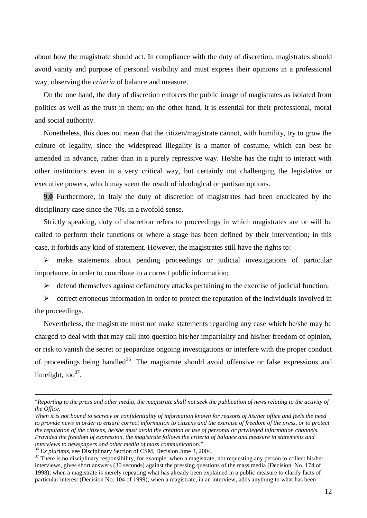about how the magistrate should act. In compliance with the duty of discretion, magistrates should avoid vanity and purpose of personal visibility and must express their opinions in a professional way, observing the *criteria* of balance and measure.

On the one hand, the duty of discretion enforces the public image of magistrates as isolated from politics as well as the trust in them; on the other hand, it is essential for their professional, moral and social authority.

Nonetheless, this does not mean that the citizen/magistrate cannot, with humility, try to grow the culture of legality, since the widespread illegality is a matter of costume, which can best be amended in advance, rather than in a purely repressive way. He/she has the right to interact with other institutions even in a very critical way, but certainly not challenging the legislative or executive powers, which may seem the result of ideological or partisan options.

**9.0** Furthermore, in Italy the duty of discretion of magistrates had been enucleated by the disciplinary case since the 70s, in a twofold sense.

Strictly speaking, duty of discretion refers to proceedings in which magistrates are or will be called to perform their functions or where a stage has been defined by their intervention; in this case, it forbids any kind of statement. However, the magistrates still have the rights to:

 make statements about pending proceedings or judicial investigations of particular importance, in order to contribute to a correct public information;

 $\triangleright$  defend themselves against defamatory attacks pertaining to the exercise of judicial function;

 $\triangleright$  correct erroneous information in order to protect the reputation of the individuals involved in the proceedings.

Nevertheless, the magistrate must not make statements regarding any case which he/she may be charged to deal with that may call into question his/her impartiality and his/her freedom of opinion, or risk to vanish the secret or jeopardize ongoing investigations or interfere with the proper conduct of proceedings being handled<sup>36</sup>. The magistrate should avoid offensive or false expressions and limelight, too $37$ .

<sup>&</sup>quot;*Reporting to the press and other media, the magistrate shall not seek the publication of news relating to the activity of the Office.*

*When it is not bound to secrecy or confidentiality of information known for reasons of his/her office and feels the need to provide news in order to ensure correct information to citizens and the exercise of freedom of the press, or to protect the reputation of the citizens, he/she must avoid the creation or use of personal or privileged information channels. Provided the freedom of expression, the magistrate follows the criteria of balance and measure in statements and interviews to newspapers and other media of mass communication.*".

<sup>36</sup> *Ex plurimis*, see Disciplinary Section of CSM, Decision June 3, 2004.

<sup>&</sup>lt;sup>37</sup> There is no disciplinary responsibility, for example: when a magistrate, not requesting any person to collect his/her interviews, gives short answers (30 seconds) against the pressing questions of the mass media (Decision No. 174 of 1998); when a magistrate is merely repeating what has already been explained in a public measure to clarify facts of particular interest (Decision No. 104 of 1999); when a magistrate, in an interview, adds anything to what has been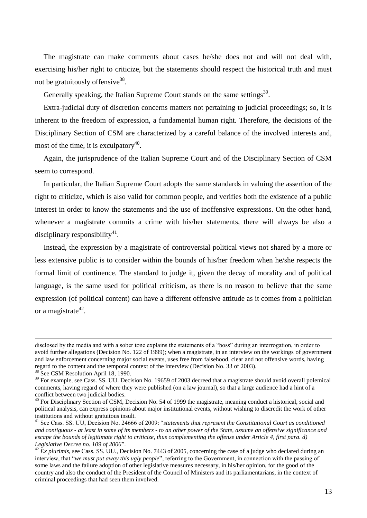The magistrate can make comments about cases he/she does not and will not deal with, exercising his/her right to criticize, but the statements should respect the historical truth and must not be gratuitously offensive<sup>38</sup>.

Generally speaking, the Italian Supreme Court stands on the same settings<sup>39</sup>.

Extra-judicial duty of discretion concerns matters not pertaining to judicial proceedings; so, it is inherent to the freedom of expression, a fundamental human right. Therefore, the decisions of the Disciplinary Section of CSM are characterized by a careful balance of the involved interests and, most of the time, it is exculpatory $40$ .

Again, the jurisprudence of the Italian Supreme Court and of the Disciplinary Section of CSM seem to correspond.

In particular, the Italian Supreme Court adopts the same standards in valuing the assertion of the right to criticize, which is also valid for common people, and verifies both the existence of a public interest in order to know the statements and the use of inoffensive expressions. On the other hand, whenever a magistrate commits a crime with his/her statements, there will always be also a disciplinary responsibility $41$ .

Instead, the expression by a magistrate of controversial political views not shared by a more or less extensive public is to consider within the bounds of his/her freedom when he/she respects the formal limit of continence. The standard to judge it, given the decay of morality and of political language, is the same used for political criticism, as there is no reason to believe that the same expression (of political content) can have a different offensive attitude as it comes from a politician or a magistrate<sup>42</sup>.

disclosed by the media and with a sober tone explains the statements of a "boss" during an interrogation, in order to avoid further allegations (Decision No. 122 of 1999); when a magistrate, in an interview on the workings of government and law enforcement concerning major social events, uses free from falsehood, clear and not offensive words, having regard to the content and the temporal context of the interview (Decision No. 33 of 2003).

 $3$  See CSM Resolution April 18, 1990.

<sup>&</sup>lt;sup>39</sup> For example, see Cass. SS. UU. Decision No. 19659 of 2003 decreed that a magistrate should avoid overall polemical comments, having regard of where they were published (on a law journal), so that a large audience had a hint of a conflict between two judicial bodies.

 $40$  For Disciplinary Section of CSM, Decision No. 54 of 1999 the magistrate, meaning conduct a historical, social and political analysis, can express opinions about major institutional events, without wishing to discredit the work of other institutions and without gratuitous insult.

<sup>41</sup> See Cass. SS. UU, Decision No. 24666 of 2009: "*statements that represent the Constitutional Court as conditioned and contiguous - at least in some of its members - to an other power of the State, assume an offensive significance and escape the bounds of legitimate right to criticize, thus complementing the offense under Article 4, first para. d) Legislative Decree no. 109 of 2006*".

 $^{42}$  Ex plurimis, see Cass. SS. UU., Decision No. 7443 of 2005, concerning the case of a judge who declared during an interview, that "*we must put away this ugly people*", referring to the Government, in connection with the passing of some laws and the failure adoption of other legislative measures necessary, in his/her opinion, for the good of the country and also the conduct of the President of the Council of Ministers and its parliamentarians, in the context of criminal proceedings that had seen them involved.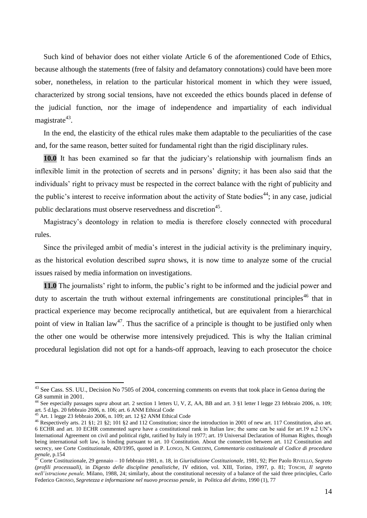Such kind of behavior does not either violate Article 6 of the aforementioned Code of Ethics, because although the statements (free of falsity and defamatory connotations) could have been more sober, nonetheless, in relation to the particular historical moment in which they were issued, characterized by strong social tensions, have not exceeded the ethics bounds placed in defense of the judicial function, nor the image of independence and impartiality of each individual magistrate<sup>43</sup>.

In the end, the elasticity of the ethical rules make them adaptable to the peculiarities of the case and, for the same reason, better suited for fundamental right than the rigid disciplinary rules.

**10.0** It has been examined so far that the judiciary"s relationship with journalism finds an inflexible limit in the protection of secrets and in persons" dignity; it has been also said that the individuals" right to privacy must be respected in the correct balance with the right of publicity and the public's interest to receive information about the activity of State bodies<sup>44</sup>; in any case, judicial public declarations must observe reservedness and discretion<sup>45</sup>.

Magistracy"s deontology in relation to media is therefore closely connected with procedural rules.

Since the privileged ambit of media"s interest in the judicial activity is the preliminary inquiry, as the historical evolution described *supra* shows, it is now time to analyze some of the crucial issues raised by media information on investigations.

**11.0** The journalists' right to inform, the public's right to be informed and the judicial power and duty to ascertain the truth without external infringements are constitutional principles<sup>46</sup> that in practical experience may become reciprocally antithetical, but are equivalent from a hierarchical point of view in Italian law<sup>47</sup>. Thus the sacrifice of a principle is thought to be justified only when the other one would be otherwise more intensively prejudiced. This is why the Italian criminal procedural legislation did not opt for a hands-off approach, leaving to each prosecutor the choice

<sup>&</sup>lt;sup>43</sup> See Cass. SS. UU., Decision No 7505 of 2004, concerning comments on events that took place in Genoa during the G8 summit in 2001.

<sup>&</sup>lt;sup>44</sup> See especially passages *supra* about art. 2 section 1 letters U, V, Z, AA, BB and art. 3 §1 letter I legge 23 febbraio 2006, n. 109; art. 5 d.lgs. 20 febbraio 2006, n. 106; art. 6 ANM Ethical Code

 $45$  Art. 1 legge 23 febbraio 2006, n. 109; art. 12 §2 ANM Ethical Code

<sup>46</sup> Respectively arts. 21 §1; 21 §2; 101 §2 and 112 Constitution; since the introduction in 2001 of new art. 117 Constitution, also art. 6 ECHR and art. 10 ECHR commented *supra* have a constitutional rank in Italian law; the same can be said for art.19 n.2 UN"s International Agreement on civil and political right, ratified by Italy in 1977; art. 19 Universal Declaration of Human Rights, though being international soft law, is binding pursuant to art. 10 Constitution. About the connection between art. 112 Constitution and secrecy, see Corte Costituzionale, 420/1995, quoted in P. LONGO, N. GHEDINI, *Commentario costituzionale al Codice di procedura penale*, p.154

<sup>47</sup> Corte Costituzionale, 29 gennaio – 10 febbraio 1981, n. 18, in *Giurisdizione Costituzionale,* 1981, 92; Pier Paolo RIVELLO, *Segreto (profili processuali)*, in *Digesto delle discipline penalistiche,* IV edition, vol. XIII, Torino, 1997, p. 81; TOSCHI, *Il segreto nell"istruzione penale,* Milano, 1988, 24; similarly, about the constitutional necessity of a balance of the said three principles, Carlo Federico GROSSO, *Segretezza e informazione nel nuovo processo penale,* in *Politica del diritto,* 1990 (1), 77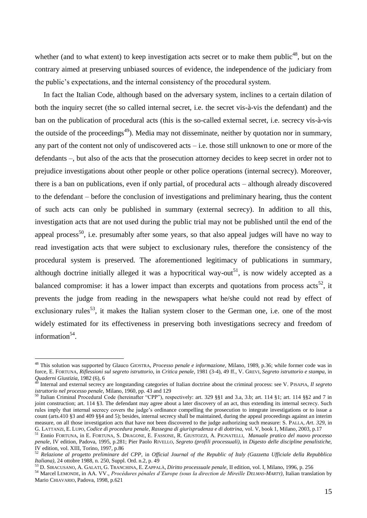whether (and to what extent) to keep investigation acts secret or to make them public<sup>48</sup>, but on the contrary aimed at preserving unbiased sources of evidence, the independence of the judiciary from the public"s expectations, and the internal consistency of the procedural system.

In fact the Italian Code, although based on the adversary system, inclines to a certain dilation of both the inquiry secret (the so called internal secret, i.e. the secret vis-à-vis the defendant) and the ban on the publication of procedural acts (this is the so-called external secret, i.e. secrecy vis-à-vis the outside of the proceedings<sup>49</sup>). Media may not disseminate, neither by quotation nor in summary, any part of the content not only of undiscovered acts – i.e. those still unknown to one or more of the defendants –, but also of the acts that the prosecution attorney decides to keep secret in order not to prejudice investigations about other people or other police operations (internal secrecy). Moreover, there is a ban on publications, even if only partial, of procedural acts – although already discovered to the defendant – before the conclusion of investigations and preliminary hearing, thus the content of such acts can only be published in summary (external secrecy). In addition to all this, investigation acts that are not used during the public trial may not be published until the end of the appeal process<sup>50</sup>, i.e. presumably after some years, so that also appeal judges will have no way to read investigation acts that were subject to exclusionary rules, therefore the consistency of the procedural system is preserved. The aforementioned legitimacy of publications in summary, although doctrine initially alleged it was a hypocritical way-out<sup>51</sup>, is now widely accepted as a balanced compromise: it has a lower impact than excerpts and quotations from process  $\arccos^{52}$ , it prevents the judge from reading in the newspapers what he/she could not read by effect of exclusionary rules<sup>53</sup>, it makes the Italian system closer to the German one, i.e. one of the most widely estimated for its effectiveness in preserving both investigations secrecy and freedom of information<sup>54</sup>.

<sup>48</sup> This solution was supported by Glauco GIOSTRA, *Processo penale e informazione,* Milano, 1989, p.36; while former code was in force, E. FORTUNA, *Riflessioni sul segreto istruttorio,* in *Critica penale,* 1981 (3-4), 49 ff., V. GREVI, *Segreto istruttorio e stampa,* in *Quaderni Giustizia,* 1982 (6), 6

<sup>49</sup> Internal and external secrecy are longstanding categories of Italian doctrine about the criminal process: see V. PISAPIA, *Il segreto istruttorio nel processo penale,* Milano, 1960, pp. 43 and 129

<sup>50</sup> Italian Criminal Procedural Code (hereinafter "CPP"), respectively: art. 329 §§1 and 3.a, 3.b; art. 114 §1; art. 114 §§2 and 7 in joint construction; art. 114 §3. The defendant may agree about a later discovery of an act, thus extending its internal secrecy. Such rules imply that internal secrecy covers the judge"s ordinance compelling the prosecution to integrate investigations or to issue a count (arts.410 §3 and 409 §§4 and 5); besides, internal secrecy shall be maintained, during the appeal proceedings against an interim measure, on all those investigation acts that have not been discovered to the judge authorizing such measure: S. PALLA, *Art. 329,* in G. LATTANZI, E. LUPO, *Codice di procedura penale, Rassegna di giurisprudenza e di dottrina,* vol. V, book 1, Milano, 2003, p.17

<sup>51</sup> Ennio FORTUNA, in E. FORTUNA, S. DRAGONE, E. FASSONE, R. GIUSTOZZI, A. PIGNATELLI, *Manuale pratico del nuovo processo penale,* IV edition, Padova, 1995, p.281; Pier Paolo RIVELLO, *Segreto (profili processuali)*, in *Digesto delle discipline penalistiche,* IV edition, vol. XIII, Torino, 1997, p.86

<sup>52</sup> *Relazione al progetto preliminare del CPP,* in *Official Journal of the Republic of Italy (Gazzetta Ufficiale della Repubblica Italiana)*, 24 ottobre 1988, n. 250, Suppl. Ord. n.2, p. 49

<sup>53</sup> D. SIRACUSANO, A. GALATI, G. TRANCHINA, E. ZAPPALÀ, *Diritto processuale penale,* II edition, vol. I, Milano, 1996, p. 256

<sup>54</sup> Marcel LEMONDE, in AA. VV., *Procédures pénales d"Europe (sous la direction de Mireille DELMAS-MARTY),* Italian translation by Mario CHIAVARIO, Padova, 1998, p.621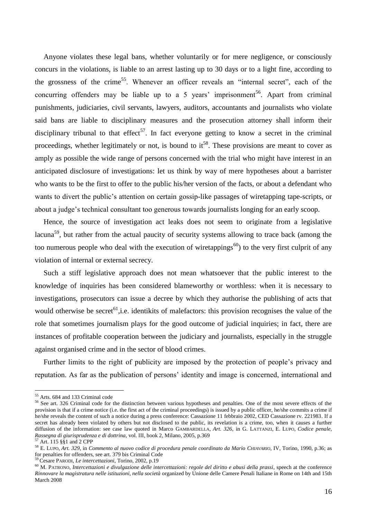Anyone violates these legal bans, whether voluntarily or for mere negligence, or consciously concurs in the violations, is liable to an arrest lasting up to 30 days or to a light fine, according to the grossness of the crime<sup>55</sup>. Whenever an officer reveals an "internal secret", each of the concurring offenders may be liable up to a 5 years' imprisonment<sup>56</sup>. Apart from criminal punishments, judiciaries, civil servants, lawyers, auditors, accountants and journalists who violate said bans are liable to disciplinary measures and the prosecution attorney shall inform their disciplinary tribunal to that effect<sup>57</sup>. In fact everyone getting to know a secret in the criminal proceedings, whether legitimately or not, is bound to  $it^{58}$ . These provisions are meant to cover as amply as possible the wide range of persons concerned with the trial who might have interest in an anticipated disclosure of investigations: let us think by way of mere hypotheses about a barrister who wants to be the first to offer to the public his/her version of the facts, or about a defendant who wants to divert the public's attention on certain gossip-like passages of wiretapping tape-scripts, or about a judge's technical consultant too generous towards journalists longing for an early scoop.

Hence, the source of investigation act leaks does not seem to originate from a legislative lacuna<sup>59</sup>, but rather from the actual paucity of security systems allowing to trace back (among the too numerous people who deal with the execution of wiretappings<sup>60</sup>) to the very first culprit of any violation of internal or external secrecy.

Such a stiff legislative approach does not mean whatsoever that the public interest to the knowledge of inquiries has been considered blameworthy or worthless: when it is necessary to investigations, prosecutors can issue a decree by which they authorise the publishing of acts that would otherwise be secret<sup>61</sup>,i.e. identikits of malefactors: this provision recognises the value of the role that sometimes journalism plays for the good outcome of judicial inquiries; in fact, there are instances of profitable cooperation between the judiciary and journalists, especially in the struggle against organised crime and in the sector of blood crimes.

Further limits to the right of publicity are imposed by the protection of people"s privacy and reputation. As far as the publication of persons" identity and image is concerned, international and

<sup>55</sup> Arts. 684 and 133 Criminal code

<sup>56</sup> See art. 326 Criminal code for the distinction between various hypotheses and penalties. One of the most severe effects of the provision is that if a crime notice (i.e. the first act of the criminal proceedings) is issued by a public officer, he/she commits a crime if he/she reveals the content of such a notice during a press conference: Cassazione 11 febbraio 2002, CED Cassazione rv. 221983. If a secret has already been violated by others but not disclosed to the public, its revelation is a crime, too, when it causes a further diffusion of the information: see case law quoted in Marco GAMBARDELLA, *Art. 326,* in G. LATTANZI, E. LUPO, *Codice penale, Rassegna di giurisprudenza e di dottrina,* vol. III, book 2, Milano, 2005, p.369

<sup>57</sup> Art. 115 §§1 and 2 CPP

<sup>58</sup> E. LUPO, *Art. 329,* in *Commento al nuovo codice di procedura penale coordinato da Mario CHIAVARIO,* IV, Torino, 1990, p.36; as for penalties for offenders, see art. 379 bis Criminal Code

<sup>59</sup> Cesare PARODI, *Le intercettazioni*, Torino, 2002, p.19

<sup>60</sup> M. PATRONO, *Intercettazioni e divulgazione delle intercettazioni: regole del diritto e abusi della prassi*, speech at the conference *Rinnovare la magistratura nelle istituzioni, nella società* organized by Unione delle Camere Penali Italiane in Rome on 14th and 15th March 2008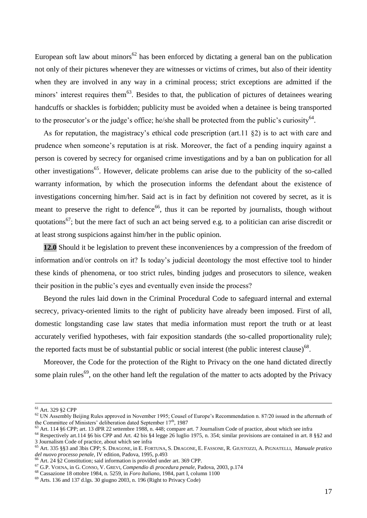European soft law about minors<sup>62</sup> has been enforced by dictating a general ban on the publication not only of their pictures whenever they are witnesses or victims of crimes, but also of their identity when they are involved in any way in a criminal process; strict exceptions are admitted if the minors' interest requires them<sup>63</sup>. Besides to that, the publication of pictures of detainees wearing handcuffs or shackles is forbidden; publicity must be avoided when a detainee is being transported to the prosecutor's or the judge's office; he/she shall be protected from the public's curiosity<sup>64</sup>.

As for reputation, the magistracy's ethical code prescription (art. 11 §2) is to act with care and prudence when someone"s reputation is at risk. Moreover, the fact of a pending inquiry against a person is covered by secrecy for organised crime investigations and by a ban on publication for all other investigations<sup>65</sup>. However, delicate problems can arise due to the publicity of the so-called warranty information, by which the prosecution informs the defendant about the existence of investigations concerning him/her. Said act is in fact by definition not covered by secret, as it is meant to preserve the right to defence<sup>66</sup>, thus it can be reported by journalists, though without quotations<sup>67</sup>; but the mere fact of such an act being served e.g. to a politician can arise discredit or at least strong suspicions against him/her in the public opinion.

**12.0** Should it be legislation to prevent these inconveniences by a compression of the freedom of information and/or controls on it? Is today"s judicial deontology the most effective tool to hinder these kinds of phenomena, or too strict rules, binding judges and prosecutors to silence, weaken their position in the public's eyes and eventually even inside the process?

Beyond the rules laid down in the Criminal Procedural Code to safeguard internal and external secrecy, privacy-oriented limits to the right of publicity have already been imposed. First of all, domestic longstanding case law states that media information must report the truth or at least accurately verified hypotheses, with fair exposition standards (the so-called proportionality rule); the reported facts must be of substantial public or social interest (the public interest clause)<sup>68</sup>.

Moreover, the Code for the protection of the Right to Privacy on the one hand dictated directly some plain rules<sup>69</sup>, on the other hand left the regulation of the matter to acts adopted by the Privacy

<sup>61</sup> Art. 329 §2 CPP

 $62$  UN Assembly Beijing Rules approved in November 1995; Cousel of Europe's Recommendation n. 87/20 issued in the aftermath of the Committee of Ministers' deliberation dated September  $17<sup>th</sup>$ , 1987

 $63$  Art. 114 §6 CPP; art. 13 dPR 22 settembre 1988, n. 448; compare art. 7 Journalism Code of practice, about which see infra

<sup>64</sup> Respectively art.114 §6 bis CPP and Art. 42 bis §4 legge 26 luglio 1975, n. 354; similar provisions are contained in art. 8 §§2 and 3 Journalism Code of practice, about which see infra

<sup>65</sup> Art. 335 §§3 and 3bis CPP; S. DRAGONE, in E. FORTUNA, S. DRAGONE, E. FASSONE, R. GIUSTOZZI, A. PIGNATELLI, *Manuale pratico del nuovo processo penale,* IV edition, Padova, 1995, p.493

<sup>66</sup> Art. 24 §2 Constitution; said information is provided under art. 369 CPP.

<sup>67</sup> G.P. VOENA, in G. CONSO, V. GREVI, *Compendio di procedura penale*, Padova, 2003, p.174

<sup>68</sup> Cassazione 18 ottobre 1984, n. 5259, in *Foro Italiano*, 1984, part I, column 1100

<sup>69</sup> Arts. 136 and 137 d.lgs. 30 giugno 2003, n. 196 (Right to Privacy Code)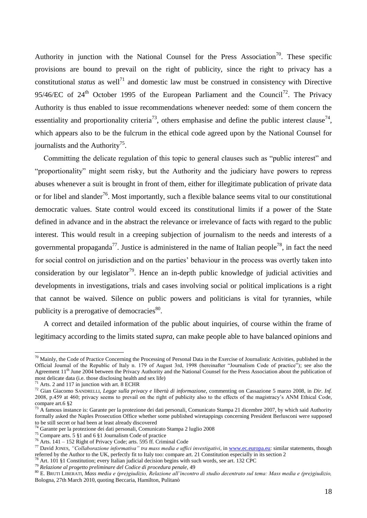Authority in junction with the National Counsel for the Press Association<sup>70</sup>. These specific provisions are bound to prevail on the right of publicity, since the right to privacy has a constitutional *status* as well<sup>71</sup> and domestic law must be construed in consistency with Directive 95/46/EC of  $24<sup>th</sup>$  October 1995 of the European Parliament and the Council<sup>72</sup>. The Privacy Authority is thus enabled to issue recommendations whenever needed: some of them concern the essentiality and proportionality criteria<sup>73</sup>, others emphasise and define the public interest clause<sup>74</sup>, which appears also to be the fulcrum in the ethical code agreed upon by the National Counsel for journalists and the Authority<sup>75</sup>.

Committing the delicate regulation of this topic to general clauses such as "public interest" and "proportionality" might seem risky, but the Authority and the judiciary have powers to repress abuses whenever a suit is brought in front of them, either for illegitimate publication of private data or for libel and slander<sup>76</sup>. Most importantly, such a flexible balance seems vital to our constitutional democratic values. State control would exceed its constitutional limits if a power of the State defined in advance and in the abstract the relevance or irrelevance of facts with regard to the public interest. This would result in a creeping subjection of journalism to the needs and interests of a governmental propaganda<sup>77</sup>. Justice is administered in the name of Italian people<sup>78</sup>, in fact the need for social control on jurisdiction and on the parties" behaviour in the process was overtly taken into consideration by our legislator<sup>79</sup>. Hence an in-depth public knowledge of judicial activities and developments in investigations, trials and cases involving social or political implications is a right that cannot be waived. Silence on public powers and politicians is vital for tyrannies, while publicity is a prerogative of democracies<sup>80</sup>.

A correct and detailed information of the public about inquiries, of course within the frame of legitimacy according to the limits stated *supra*, can make people able to have balanced opinions and

-

 $70$  Mainly, the Code of Practice Concerning the Processing of Personal Data in the Exercise of Journalistic Activities, published in the Official Journal of the Republic of Italy n. 179 of August 3rd, 1998 (hereinafter "Journalism Code of practice"); see also the Agreement 11<sup>th</sup> June 2004 between the Privacy Authority and the National Counsel for the Press Association about the publication of most delicate data (i.e. those disclosing health and sex life)

Arts. 2 and 117 in junction with art. 8 ECHR

<sup>72</sup> Gian Giacomo SANDRELLI, *Legge sulla privacy e libertà di informazione,* commenting on Cassazione 5 marzo 2008, in *Dir. Inf.* 2008, p.459 at 460; privacy seems to prevail on the right of publicity also to the effects of the magistracy"s ANM Ethical Code, compare art.6 §2

 $^{73}$  A famous instance is: Garante per la protezione dei dati personali, Comunicato Stampa 21 dicembre 2007, by which said Authority formally asked the Naples Prosecution Office whether some published wiretappings concerning President Berlusconi were supposed to be still secret or had been at least already discovered

<sup>74</sup> Garante per la protezione dei dati personali, Comunicato Stampa 2 luglio 2008

<sup>75</sup> Compare arts. 5 §1 and 6 §1 Journalism Code of practice

<sup>76</sup> Arts. 141 – 152 Right of Privacy Code; arts. 595 ff. Criminal Code

<sup>77</sup> David JONES, *"Collaborazione informativa" tra mass media e uffici investigativi*, i[n www.ec.europa.eu:](http://www.ec.europa.eu/) similar statements, though referred by the Author to the UK, perfectly fit to Italy too: compare art. 21 Constitution especially in its section 2 <sup>78</sup> Art. 101 §1 Constitution; every Italian judicial decision begins with such words, see art. 132 CPC

<sup>79</sup> *Relazione al progetto preliminare del Codice di procedura penale,* 49

<sup>80</sup> E. BRUTI LIBERATI, *Mass media e (pre)giudizio, Relazione all"incontro di studio decentrato sul tema: Mass media e (pre)giudizio,*  Bologna, 27th March 2010, quoting Beccaria, Hamilton, Pulitanò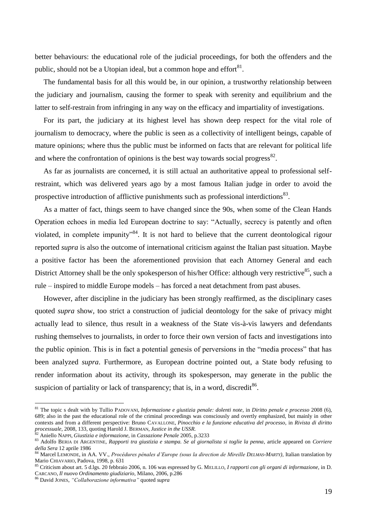better behaviours: the educational role of the judicial proceedings, for both the offenders and the public, should not be a Utopian ideal, but a common hope and effort<sup>81</sup>.

The fundamental basis for all this would be, in our opinion, a trustworthy relationship between the judiciary and journalism, causing the former to speak with serenity and equilibrium and the latter to self-restrain from infringing in any way on the efficacy and impartiality of investigations.

For its part, the judiciary at its highest level has shown deep respect for the vital role of journalism to democracy, where the public is seen as a collectivity of intelligent beings, capable of mature opinions; where thus the public must be informed on facts that are relevant for political life and where the confrontation of opinions is the best way towards social progress $^{82}$ .

As far as journalists are concerned, it is still actual an authoritative appeal to professional selfrestraint, which was delivered years ago by a most famous Italian judge in order to avoid the prospective introduction of afflictive punishments such as professional interdictions<sup>83</sup>.

As a matter of fact, things seem to have changed since the 90s, when some of the Clean Hands Operation echoes in media led European doctrine to say: "Actually, secrecy is patently and often violated, in complete impunity"<sup>84</sup>. It is not hard to believe that the current deontological rigour reported *supra* is also the outcome of international criticism against the Italian past situation. Maybe a positive factor has been the aforementioned provision that each Attorney General and each District Attorney shall be the only spokesperson of his/her Office: although very restrictive $^{85}$ , such a rule – inspired to middle Europe models – has forced a neat detachment from past abuses.

However, after discipline in the judiciary has been strongly reaffirmed, as the disciplinary cases quoted *supra* show, too strict a construction of judicial deontology for the sake of privacy might actually lead to silence, thus result in a weakness of the State vis-à-vis lawyers and defendants rushing themselves to journalists, in order to force their own version of facts and investigations into the public opinion. This is in fact a potential genesis of perversions in the "media process" that has been analyzed *supra*. Furthermore, as European doctrine pointed out, a State body refusing to render information about its activity, through its spokesperson, may generate in the public the suspicion of partiality or lack of transparency; that is, in a word, discredit $86$ .

<sup>81</sup> The topic s dealt with by Tullio PADOVANI, *Informazione e giustizia penale: dolenti note*, in *Diritto penale e processo* 2008 (6), 689; also in the past the educational role of the criminal proceedings was consciously and overtly emphasized, but mainly in other contexts and from a different perspective: Bruno CAVALLONE, *Pinocchio e la funzione educativa del processo,* in *Rivista di diritto processuale,* 2008, 133, quoting Harold J. BERMAN, *Justice in the USSR.*

<sup>82</sup> Aniello NAPPI, *Giustizia e informazione,* in *Cassazione Penale* 2005, p.3233

<sup>83</sup> Adolfo BERIA DI ARGENTINE*, Rapporti tra giustizia e stampa. Se al giornalista si toglie la penna*, article appeared on *Corriere della Sera* 12 aprile 1986

<sup>84</sup> Marcel LEMONDE, in AA. VV., *Procédures pénales d"Europe (sous la direction de Mireille DELMAS-MARTY),* Italian translation by Mario CHIAVARIO, Padova, 1998, p. 631

<sup>85</sup> Criticism about art. 5 d.lgs. 20 febbraio 2006, n. 106 was espressed by G. MELILLO, *I rapporti con gli organi di informazione,* in D. CARCANO, *Il nuovo Ordinamento giudiziario,* Milano, 2006, p.286

<sup>86</sup> David JONES, *"Collaborazione informativa"* quoted *supra*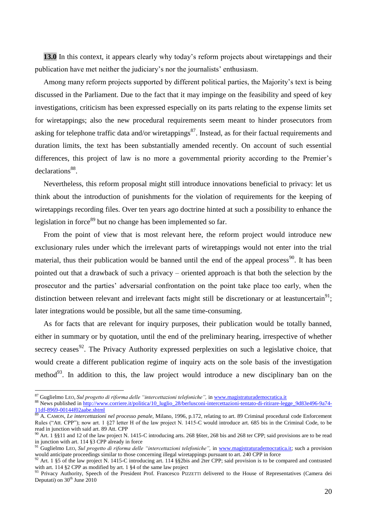**13.0** In this context, it appears clearly why today's reform projects about wiretappings and their publication have met neither the judiciary's nor the journalists' enthusiasm.

Among many reform projects supported by different political parties, the Majority"s text is being discussed in the Parliament. Due to the fact that it may impinge on the feasibility and speed of key investigations, criticism has been expressed especially on its parts relating to the expense limits set for wiretappings; also the new procedural requirements seem meant to hinder prosecutors from asking for telephone traffic data and/or wiretappings<sup>87</sup>. Instead, as for their factual requirements and duration limits, the text has been substantially amended recently. On account of such essential differences, this project of law is no more a governmental priority according to the Premier's declarations<sup>88</sup>.

Nevertheless, this reform proposal might still introduce innovations beneficial to privacy: let us think about the introduction of punishments for the violation of requirements for the keeping of wiretappings recording files. Over ten years ago doctrine hinted at such a possibility to enhance the legislation in force<sup>89</sup> but no change has been implemented so far.

From the point of view that is most relevant here, the reform project would introduce new exclusionary rules under which the irrelevant parts of wiretappings would not enter into the trial material, thus their publication would be banned until the end of the appeal process<sup>90</sup>. It has been pointed out that a drawback of such a privacy – oriented approach is that both the selection by the prosecutor and the parties" adversarial confrontation on the point take place too early, when the distinction between relevant and irrelevant facts might still be discretionary or at leastuncertain<sup>91</sup>; later integrations would be possible, but all the same time-consuming.

As for facts that are relevant for inquiry purposes, their publication would be totally banned, either in summary or by quotation, until the end of the preliminary hearing, irrespective of whether secrecy ceases<sup>92</sup>. The Privacy Authority expressed perplexities on such a legislative choice, that would create a different publication regime of inquiry acts on the sole basis of the investigation method<sup>93</sup>. In addition to this, the law project would introduce a new disciplinary ban on the

<sup>87</sup> Guglielmo LEO, *Sul progetto di riforma delle "intercettazioni telefoniche",* i[n www.magistraturademocratica.it](http://www.magistraturademocratica.it/)

<sup>88</sup> News published in [http://www.corriere.it/politica/10\\_luglio\\_28/berlusconi-intercettazioni-tentato-di-ritirare-legge\\_9d83e496-9a74-](http://www.corriere.it/politica/10_luglio_28/berlusconi-intercettazioni-tentato-di-ritirare-legge_9d83e496-9a74-11df-8969-00144f02aabe.shtml) [11df-8969-00144f02aabe.shtml](http://www.corriere.it/politica/10_luglio_28/berlusconi-intercettazioni-tentato-di-ritirare-legge_9d83e496-9a74-11df-8969-00144f02aabe.shtml)

<sup>89</sup> A. CAMON, *Le intercettazioni nel processo penale,* Milano, 1996, p.172, relating to art. 89 Criminal procedural code Enforcement Rules ("Att. CPP"); now art. 1 §27 letter H of the law project N. 1415-C would introduce art. 685 bis in the Criminal Code, to be read in junction with said art. 89 Att. CPP

 $^{90}$  Art. 1 §§11 and 12 of the law project N. 1415-C introducing arts. 268 §6ter, 268 bis and 268 ter CPP; said provisions are to be read in junction with art. 114 §3 CPP already in force

<sup>&</sup>lt;sup>91</sup> Guglielmo LEO, *Sul progetto di riforma delle "intercettazioni telefoniche"*, in [www.magistraturademocratica.it;](http://www.magistraturademocratica.it/) such a provision would anticipate proceedings similar to those concerning illegal wiretappings pursuant to art. 240 CPP in force

<sup>&</sup>lt;sup>92</sup> Art. 1 §5 of the law project N. 1415-C introducing art. 114 §§2bis and 2ter CPP; said provision is to be compared and contrasted with art. 114 §2 CPP as modified by art. 1 §4 of the same law project

<sup>&</sup>lt;sup>93</sup> Privacy Authority, Speech of the President Prof. Francesco PIZZETTI delivered to the House of Representatives (Camera dei Deputati) on 30<sup>th</sup> June 2010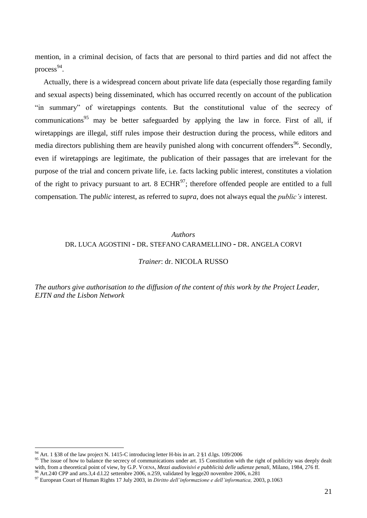mention, in a criminal decision, of facts that are personal to third parties and did not affect the process<sup>94</sup>.

Actually, there is a widespread concern about private life data (especially those regarding family and sexual aspects) being disseminated, which has occurred recently on account of the publication "in summary" of wiretappings contents. But the constitutional value of the secrecy of communications<sup>95</sup> may be better safeguarded by applying the law in force. First of all, if wiretappings are illegal, stiff rules impose their destruction during the process, while editors and media directors publishing them are heavily punished along with concurrent offenders<sup>96</sup>. Secondly, even if wiretappings are legitimate, the publication of their passages that are irrelevant for the purpose of the trial and concern private life, i.e. facts lacking public interest, constitutes a violation of the right to privacy pursuant to art. 8 ECHR<sup>97</sup>; therefore offended people are entitled to a full compensation. The *public* interest, as referred to *supra*, does not always equal the *public"s* interest.

#### *Authors* DR. LUCA AGOSTINI - DR. STEFANO CARAMELLINO - DR. ANGELA CORVI

*Trainer*: dr. NICOLA RUSSO

*The authors give authorisation to the diffusion of the content of this work by the Project Leader, EJTN and the Lisbon Network*

 $94$  Art. 1 §38 of the law project N. 1415-C introducing letter H-bis in art. 2 §1 d.lgs. 109/2006

<sup>&</sup>lt;sup>95</sup> The issue of how to balance the secrecy of communications under art. 15 Constitution with the right of publicity was deeply dealt with, from a theoretical point of view, by G.P. VOENA, *Mezzi audiovisivi e pubblicità delle udienze penali,* Milano, 1984, 276 ff. <sup>96</sup> Art.240 CPP and arts.3,4 d.l.22 settembre 2006, n.259, validated by legge20 novembre 2006, n.281

<sup>97</sup> European Court of Human Rights 17 July 2003, in *Diritto dell"informazione e dell"informatica,* 2003, p.1063